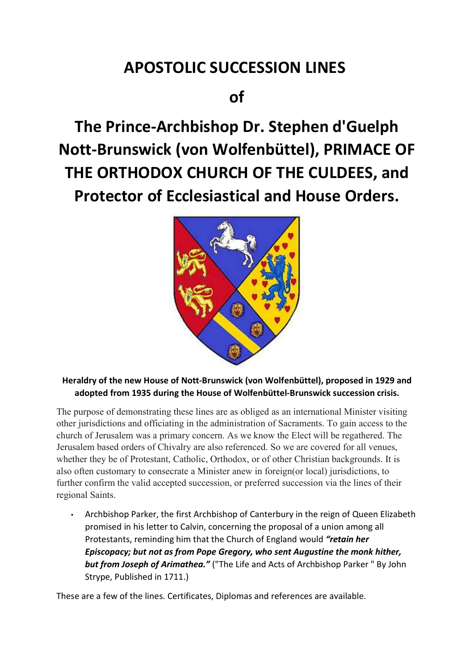# APOSTOLIC SUCCESSION LINES

# of

The Prince-Archbishop Dr. Stephen d'Guelph Nott-Brunswick (von Wolfenbüttel), PRIMACE OF THE ORTHODOX CHURCH OF THE CULDEES, and Protector of Ecclesiastical and House Orders.



Heraldry of the new House of Nott-Brunswick (von Wolfenbüttel), proposed in 1929 and adopted from 1935 during the House of Wolfenbüttel-Brunswick succession crisis.

The purpose of demonstrating these lines are as obliged as an international Minister visiting other jurisdictions and officiating in the administration of Sacraments. To gain access to the church of Jerusalem was a primary concern. As we know the Elect will be regathered. The Jerusalem based orders of Chivalry are also referenced. So we are covered for all venues, whether they be of Protestant, Catholic, Orthodox, or of other Christian backgrounds. It is also often customary to consecrate a Minister anew in foreign(or local) jurisdictions, to further confirm the valid accepted succession, or preferred succession via the lines of their regional Saints.

• Archbishop Parker, the first Archbishop of Canterbury in the reign of Queen Elizabeth promised in his letter to Calvin, concerning the proposal of a union among all Protestants, reminding him that the Church of England would "retain her Episcopacy; but not as from Pope Gregory, who sent Augustine the monk hither, but from Joseph of Arimathea." ("The Life and Acts of Archbishop Parker " By John Strype, Published in 1711.)

These are a few of the lines. Certificates, Diplomas and references are available.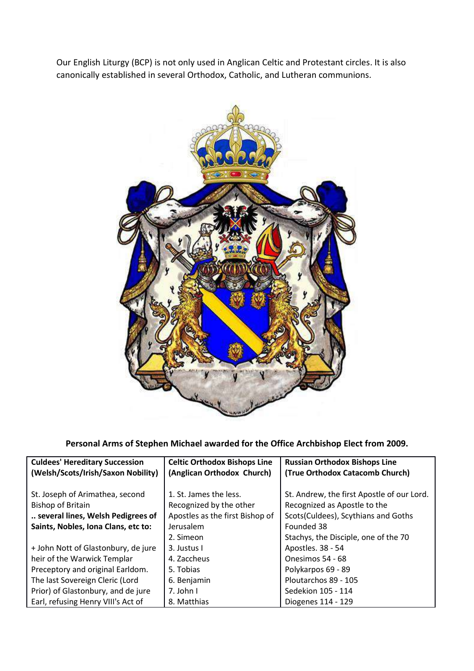Our English Liturgy (BCP) is not only used in Anglican Celtic and Protestant circles. It is also canonically established in several Orthodox, Catholic, and Lutheran communions.



Personal Arms of Stephen Michael awarded for the Office Archbishop Elect from 2009.

| <b>Culdees' Hereditary Succession</b> | <b>Celtic Orthodox Bishops Line</b> | <b>Russian Orthodox Bishops Line</b>       |
|---------------------------------------|-------------------------------------|--------------------------------------------|
| (Welsh/Scots/Irish/Saxon Nobility)    | (Anglican Orthodox Church)          | (True Orthodox Catacomb Church)            |
|                                       |                                     |                                            |
| St. Joseph of Arimathea, second       | 1. St. James the less.              | St. Andrew, the first Apostle of our Lord. |
| <b>Bishop of Britain</b>              | Recognized by the other             | Recognized as Apostle to the               |
| several lines, Welsh Pedigrees of     | Apostles as the first Bishop of     | Scots(Culdees), Scythians and Goths        |
| Saints, Nobles, Iona Clans, etc to:   | Jerusalem                           | Founded 38                                 |
|                                       | 2. Simeon                           | Stachys, the Disciple, one of the 70       |
| + John Nott of Glastonbury, de jure   | 3. Justus I                         | Apostles. 38 - 54                          |
| heir of the Warwick Templar           | 4. Zaccheus                         | Onesimos 54 - 68                           |
| Preceptory and original Earldom.      | 5. Tobias                           | Polykarpos 69 - 89                         |
| The last Sovereign Cleric (Lord       | 6. Benjamin                         | Ploutarchos 89 - 105                       |
| Prior) of Glastonbury, and de jure    | 7. John I                           | Sedekion 105 - 114                         |
| Earl, refusing Henry VIII's Act of    | 8. Matthias                         | Diogenes 114 - 129                         |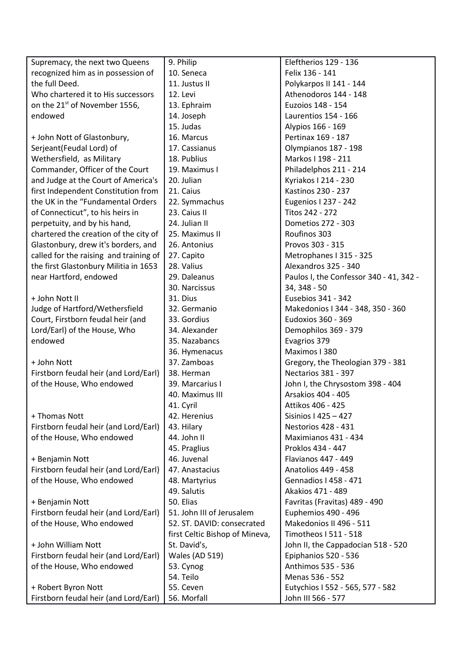| Supremacy, the next two Queens            | 9. Philip                      | Eleftherios 129 - 136                   |
|-------------------------------------------|--------------------------------|-----------------------------------------|
| recognized him as in possession of        | 10. Seneca                     | Felix 136 - 141                         |
| the full Deed.                            | 11. Justus II                  | Polykarpos II 141 - 144                 |
| Who chartered it to His successors        | 12. Levi                       | Athenodoros 144 - 148                   |
| on the 21 <sup>st</sup> of November 1556, | 13. Ephraim                    | Euzoios 148 - 154                       |
| endowed                                   | 14. Joseph                     | Laurentios 154 - 166                    |
|                                           | 15. Judas                      | Alypios 166 - 169                       |
| + John Nott of Glastonbury,               | 16. Marcus                     | Pertinax 169 - 187                      |
| Serjeant(Feudal Lord) of                  | 17. Cassianus                  | Olympianos 187 - 198                    |
| Wethersfield, as Military                 | 18. Publius                    | Markos I 198 - 211                      |
| Commander, Officer of the Court           | 19. Maximus I                  | Philadelphos 211 - 214                  |
| and Judge at the Court of America's       | 20. Julian                     | Kyriakos   214 - 230                    |
| first Independent Constitution from       | 21. Caius                      | Kastinos 230 - 237                      |
| the UK in the "Fundamental Orders         | 22. Symmachus                  | Eugenios I 237 - 242                    |
| of Connecticut", to his heirs in          | 23. Caius II                   | Titos 242 - 272                         |
| perpetuity, and by his hand,              | 24. Julian II                  | Dometios 272 - 303                      |
| chartered the creation of the city of     | 25. Maximus II                 | Roufinos 303                            |
| Glastonbury, drew it's borders, and       | 26. Antonius                   | Provos 303 - 315                        |
| called for the raising and training of    | 27. Capito                     | Metrophanes I 315 - 325                 |
| the first Glastonbury Militia in 1653     | 28. Valius                     | Alexandros 325 - 340                    |
| near Hartford, endowed                    | 29. Daleanus                   | Paulos I, the Confessor 340 - 41, 342 - |
|                                           | 30. Narcissus                  | 34, 348 - 50                            |
| + John Nott II                            | 31. Dius                       | Eusebios 341 - 342                      |
| Judge of Hartford/Wethersfield            | 32. Germanio                   | Makedonios I 344 - 348, 350 - 360       |
| Court, Firstborn feudal heir (and         | 33. Gordius                    | Eudoxios 360 - 369                      |
| Lord/Earl) of the House, Who              | 34. Alexander                  | Demophilos 369 - 379                    |
| endowed                                   | 35. Nazabancs                  | Evagrios 379                            |
|                                           | 36. Hymenacus                  | Maximos I 380                           |
| + John Nott                               | 37. Zamboas                    | Gregory, the Theologian 379 - 381       |
| Firstborn feudal heir (and Lord/Earl)     | 38. Herman                     | Nectarios 381 - 397                     |
| of the House, Who endowed                 | 39. Marcarius I                | John I, the Chrysostom 398 - 404        |
|                                           | 40. Maximus III                | Arsakios 404 - 405                      |
|                                           | 41. Cyril                      | Attikos 406 - 425                       |
| + Thomas Nott                             | 42. Herenius                   | Sisinios I 425 – 427                    |
| Firstborn feudal heir (and Lord/Earl)     | 43. Hilary                     | Nestorios 428 - 431                     |
| of the House, Who endowed                 | 44. John II                    | Maximianos 431 - 434                    |
|                                           | 45. Praglius                   | Proklos 434 - 447                       |
| + Benjamin Nott                           | 46. Juvenal                    | Flavianos 447 - 449                     |
| Firstborn feudal heir (and Lord/Earl)     | 47. Anastacius                 | Anatolios 449 - 458                     |
| of the House, Who endowed                 | 48. Martyrius                  | Gennadios I 458 - 471                   |
|                                           | 49. Salutis                    | Akakios 471 - 489                       |
| + Benjamin Nott                           | 50. Elias                      | Favritas (Fravitas) 489 - 490           |
| Firstborn feudal heir (and Lord/Earl)     | 51. John III of Jerusalem      | Euphemios 490 - 496                     |
| of the House, Who endowed                 | 52. ST. DAVID: consecrated     | Makedonios II 496 - 511                 |
|                                           | first Celtic Bishop of Mineva, | Timotheos I 511 - 518                   |
| + John William Nott                       | St. David's,                   | John II, the Cappadocian 518 - 520      |
| Firstborn feudal heir (and Lord/Earl)     | Wales (AD 519)                 | Epiphanios 520 - 536                    |
| of the House, Who endowed                 | 53. Cynog                      | Anthimos 535 - 536                      |
|                                           | 54. Teilo                      | Menas 536 - 552                         |
| + Robert Byron Nott                       | 55. Ceven                      | Eutychios I 552 - 565, 577 - 582        |
| Firstborn feudal heir (and Lord/Earl)     | 56. Morfall                    | John III 566 - 577                      |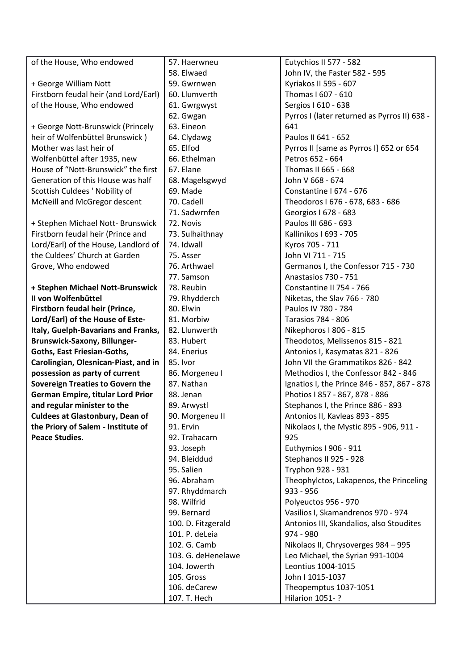| of the House, Who endowed               | 57. Haerwneu       | Eutychios II 577 - 582                       |
|-----------------------------------------|--------------------|----------------------------------------------|
|                                         | 58. Elwaed         | John IV, the Faster 582 - 595                |
| + George William Nott                   | 59. Gwrnwen        | Kyriakos II 595 - 607                        |
| Firstborn feudal heir (and Lord/Earl)   | 60. Llumverth      | Thomas I 607 - 610                           |
| of the House, Who endowed               | 61. Gwrgwyst       | Sergios I 610 - 638                          |
|                                         | 62. Gwgan          | Pyrros I (later returned as Pyrros II) 638 - |
| + George Nott-Brunswick (Princely       | 63. Eineon         | 641                                          |
| heir of Wolfenbüttel Brunswick)         | 64. Clydawg        | Paulos II 641 - 652                          |
| Mother was last heir of                 | 65. Elfod          | Pyrros II [same as Pyrros I] 652 or 654      |
| Wolfenbüttel after 1935, new            | 66. Ethelman       | Petros 652 - 664                             |
| House of "Nott-Brunswick" the first     | 67. Elane          | Thomas II 665 - 668                          |
| Generation of this House was half       | 68. Magelsgwyd     | John V 668 - 674                             |
| Scottish Culdees ' Nobility of          | 69. Made           | Constantine I 674 - 676                      |
| McNeill and McGregor descent            | 70. Cadell         | Theodoros I 676 - 678, 683 - 686             |
|                                         | 71. Sadwrnfen      | Georgios I 678 - 683                         |
| + Stephen Michael Nott- Brunswick       | 72. Novis          | Paulos III 686 - 693                         |
| Firstborn feudal heir (Prince and       | 73. Sulhaithnay    | Kallinikos I 693 - 705                       |
| Lord/Earl) of the House, Landlord of    | 74. Idwall         | Kyros 705 - 711                              |
| the Culdees' Church at Garden           | 75. Asser          | John VI 711 - 715                            |
| Grove, Who endowed                      | 76. Arthwael       | Germanos I, the Confessor 715 - 730          |
|                                         | 77. Samson         | Anastasios 730 - 751                         |
| + Stephen Michael Nott-Brunswick        | 78. Reubin         | Constantine II 754 - 766                     |
| II von Wolfenbüttel                     | 79. Rhydderch      | Niketas, the Slav 766 - 780                  |
| Firstborn feudal heir (Prince,          | 80. Elwin          | Paulos IV 780 - 784                          |
| Lord/Earl) of the House of Este-        | 81. Morbiw         | <b>Tarasios 784 - 806</b>                    |
| Italy, Guelph-Bavarians and Franks,     | 82. Llunwerth      | Nikephoros I 806 - 815                       |
| <b>Brunswick-Saxony, Billunger-</b>     | 83. Hubert         | Theodotos, Melissenos 815 - 821              |
| Goths, East Friesian-Goths,             | 84. Enerius        | Antonios I, Kasymatas 821 - 826              |
| Carolingian, Olesnican-Piast, and in    | 85. Ivor           | John VII the Grammatikos 826 - 842           |
| possession as party of current          | 86. Morgeneu I     | Methodios I, the Confessor 842 - 846         |
| <b>Sovereign Treaties to Govern the</b> | 87. Nathan         | Ignatios I, the Prince 846 - 857, 867 - 878  |
| German Empire, titular Lord Prior       | 88. Jenan          | Photios I 857 - 867, 878 - 886               |
| and regular minister to the             | 89. Arwystl        | Stephanos I, the Prince 886 - 893            |
| <b>Culdees at Glastonbury, Dean of</b>  | 90. Morgeneu II    | Antonios II, Kavleas 893 - 895               |
| the Priory of Salem - Institute of      | 91. Ervin          | Nikolaos I, the Mystic 895 - 906, 911 -      |
| <b>Peace Studies.</b>                   | 92. Trahacarn      | 925                                          |
|                                         | 93. Joseph         | Euthymios I 906 - 911                        |
|                                         | 94. Bleiddud       | Stephanos II 925 - 928                       |
|                                         | 95. Salien         | Tryphon 928 - 931                            |
|                                         | 96. Abraham        | Theophylctos, Lakapenos, the Princeling      |
|                                         | 97. Rhyddmarch     | $933 - 956$                                  |
|                                         | 98. Wilfrid        | Polyeuctos 956 - 970                         |
|                                         | 99. Bernard        | Vasilios I, Skamandrenos 970 - 974           |
|                                         | 100. D. Fitzgerald | Antonios III, Skandalios, also Stoudites     |
|                                         | 101. P. deLeia     | 974 - 980                                    |
|                                         | 102. G. Camb       | Nikolaos II, Chrysoverges 984 - 995          |
|                                         | 103. G. deHenelawe | Leo Michael, the Syrian 991-1004             |
|                                         | 104. Jowerth       | Leontius 1004-1015                           |
|                                         | 105. Gross         | John I 1015-1037                             |
|                                         | 106. deCarew       | Theopemptus 1037-1051                        |
|                                         | 107. T. Hech       | Hilarion 1051-?                              |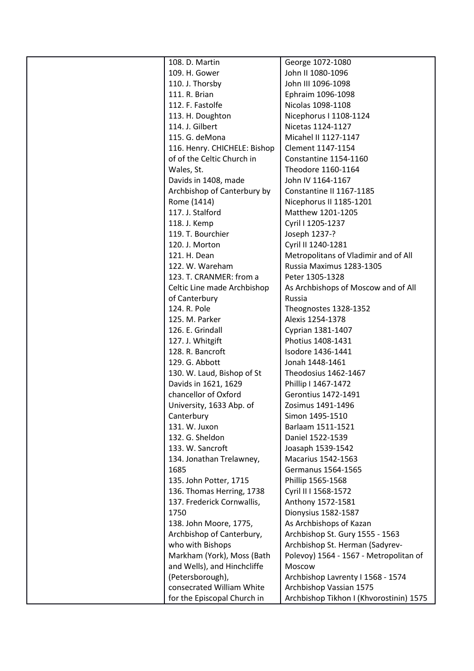| 108. D. Martin                                      | George 1072-1080                                             |
|-----------------------------------------------------|--------------------------------------------------------------|
| 109. H. Gower                                       | John II 1080-1096                                            |
| 110. J. Thorsby                                     | John III 1096-1098                                           |
| 111. R. Brian                                       | Ephraim 1096-1098                                            |
| 112. F. Fastolfe                                    | Nicolas 1098-1108                                            |
| 113. H. Doughton                                    | Nicephorus I 1108-1124                                       |
| 114. J. Gilbert                                     | Nicetas 1124-1127                                            |
| 115. G. deMona                                      | Micahel II 1127-1147                                         |
| 116. Henry. CHICHELE: Bishop                        | Clement 1147-1154                                            |
| of of the Celtic Church in                          | Constantine 1154-1160                                        |
| Wales, St.                                          | Theodore 1160-1164                                           |
| Davids in 1408, made                                | John IV 1164-1167                                            |
| Archbishop of Canterbury by                         | Constantine II 1167-1185                                     |
| Rome (1414)                                         | Nicephorus II 1185-1201                                      |
| 117. J. Stalford                                    | Matthew 1201-1205                                            |
| 118. J. Kemp                                        | Cyril I 1205-1237                                            |
| 119. T. Bourchier                                   | Joseph 1237-?                                                |
| 120. J. Morton                                      | Cyril II 1240-1281                                           |
| 121. H. Dean                                        | Metropolitans of Vladimir and of All                         |
| 122. W. Wareham                                     | Russia Maximus 1283-1305                                     |
| 123. T. CRANMER: from a                             | Peter 1305-1328                                              |
| Celtic Line made Archbishop                         | As Archbishops of Moscow and of All                          |
| of Canterbury                                       | Russia                                                       |
| 124. R. Pole                                        | Theognostes 1328-1352                                        |
| 125. M. Parker                                      | Alexis 1254-1378                                             |
| 126. E. Grindall                                    | Cyprian 1381-1407                                            |
| 127. J. Whitgift                                    | Photius 1408-1431                                            |
| 128. R. Bancroft                                    | Isodore 1436-1441                                            |
| 129. G. Abbott                                      | Jonah 1448-1461                                              |
| 130. W. Laud, Bishop of St                          | Theodosius 1462-1467                                         |
| Davids in 1621, 1629                                | Phillip I 1467-1472                                          |
| chancellor of Oxford                                | Gerontius 1472-1491                                          |
| University, 1633 Abp. of                            | Zosimus 1491-1496                                            |
| Canterbury                                          | Simon 1495-1510                                              |
| 131. W. Juxon                                       | Barlaam 1511-1521                                            |
| 132. G. Sheldon                                     | Daniel 1522-1539                                             |
| 133. W. Sancroft                                    | Joasaph 1539-1542                                            |
| 134. Jonathan Trelawney,                            | <b>Macarius 1542-1563</b>                                    |
| 1685                                                | Germanus 1564-1565                                           |
|                                                     |                                                              |
| 135. John Potter, 1715<br>136. Thomas Herring, 1738 | Phillip 1565-1568<br>Cyril II I 1568-1572                    |
| 137. Frederick Cornwallis,                          | Anthony 1572-1581                                            |
| 1750                                                | Dionysius 1582-1587                                          |
|                                                     | As Archbishops of Kazan                                      |
| 138. John Moore, 1775,<br>Archbishop of Canterbury, | Archbishop St. Gury 1555 - 1563                              |
| who with Bishops                                    | Archbishop St. Herman (Sadyrev-                              |
|                                                     |                                                              |
| Markham (York), Moss (Bath                          | Polevoy) 1564 - 1567 - Metropolitan of                       |
| and Wells), and Hinchcliffe                         | Moscow                                                       |
| (Petersborough),<br>consecrated William White       | Archbishop Lavrenty I 1568 - 1574<br>Archbishop Vassian 1575 |
|                                                     |                                                              |
| for the Episcopal Church in                         | Archbishop Tikhon I (Khvorostinin) 1575                      |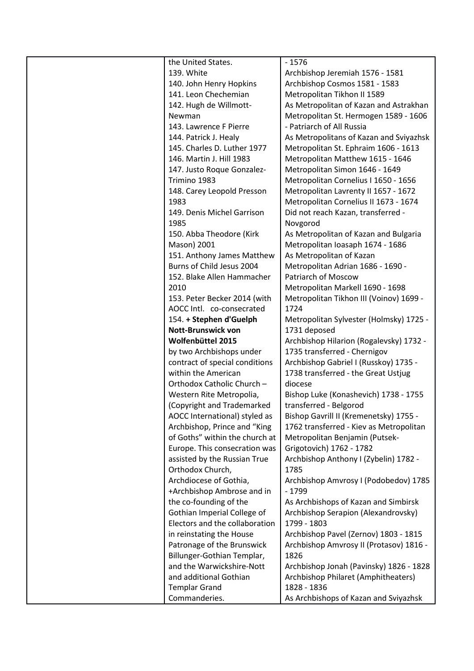| the United States.                    | $-1576$                                              |
|---------------------------------------|------------------------------------------------------|
| 139. White                            | Archbishop Jeremiah 1576 - 1581                      |
| 140. John Henry Hopkins               | Archbishop Cosmos 1581 - 1583                        |
| 141. Leon Chechemian                  | Metropolitan Tikhon II 1589                          |
| 142. Hugh de Willmott-                | As Metropolitan of Kazan and Astrakhan               |
| Newman                                | Metropolitan St. Hermogen 1589 - 1606                |
| 143. Lawrence F Pierre                | - Patriarch of All Russia                            |
| 144. Patrick J. Healy                 | As Metropolitans of Kazan and Sviyazhsk              |
| 145. Charles D. Luther 1977           | Metropolitan St. Ephraim 1606 - 1613                 |
| 146. Martin J. Hill 1983              | Metropolitan Matthew 1615 - 1646                     |
| 147. Justo Roque Gonzalez-            | Metropolitan Simon 1646 - 1649                       |
| Trimino 1983                          | Metropolitan Cornelius I 1650 - 1656                 |
| 148. Carey Leopold Presson            | Metropolitan Lavrenty II 1657 - 1672                 |
| 1983                                  | Metropolitan Cornelius II 1673 - 1674                |
| 149. Denis Michel Garrison            | Did not reach Kazan, transferred -                   |
| 1985                                  | Novgorod                                             |
| 150. Abba Theodore (Kirk              | As Metropolitan of Kazan and Bulgaria                |
| Mason) 2001                           | Metropolitan Ioasaph 1674 - 1686                     |
| 151. Anthony James Matthew            | As Metropolitan of Kazan                             |
| Burns of Child Jesus 2004             | Metropolitan Adrian 1686 - 1690 -                    |
| 152. Blake Allen Hammacher            | Patriarch of Moscow                                  |
| 2010                                  | Metropolitan Markell 1690 - 1698                     |
| 153. Peter Becker 2014 (with          | Metropolitan Tikhon III (Voinov) 1699 -              |
| AOCC Intl. co-consecrated             | 1724                                                 |
| 154. + Stephen d'Guelph               | Metropolitan Sylvester (Holmsky) 1725 -              |
| <b>Nott-Brunswick von</b>             | 1731 deposed                                         |
|                                       |                                                      |
|                                       |                                                      |
| Wolfenbüttel 2015                     | Archbishop Hilarion (Rogalevsky) 1732 -              |
| by two Archbishops under              | 1735 transferred - Chernigov                         |
| contract of special conditions        | Archbishop Gabriel I (Russkoy) 1735 -                |
| within the American                   | 1738 transferred - the Great Ustjug                  |
| Orthodox Catholic Church -            | diocese                                              |
| Western Rite Metropolia,              | Bishop Luke (Konashevich) 1738 - 1755                |
| (Copyright and Trademarked            | transferred - Belgorod                               |
| AOCC International) styled as         | Bishop Gavrill II (Kremenetsky) 1755 -               |
| Archbishop, Prince and "King          | 1762 transferred - Kiev as Metropolitan              |
| of Goths" within the church at        | Metropolitan Benjamin (Putsek-                       |
| Europe. This consecration was         | Grigotovich) 1762 - 1782                             |
| assisted by the Russian True          | Archbishop Anthony I (Zybelin) 1782 -                |
| Orthodox Church,                      | 1785                                                 |
| Archdiocese of Gothia,                | Archbishop Amvrosy I (Podobedov) 1785                |
| +Archbishop Ambrose and in            | $-1799$                                              |
| the co-founding of the                | As Archbishops of Kazan and Simbirsk                 |
| Gothian Imperial College of           | Archbishop Serapion (Alexandrovsky)                  |
| Electors and the collaboration        | 1799 - 1803                                          |
| in reinstating the House              | Archbishop Pavel (Zernov) 1803 - 1815                |
| Patronage of the Brunswick            | Archbishop Amvrosy II (Protasov) 1816 -              |
| Billunger-Gothian Templar,            | 1826                                                 |
| and the Warwickshire-Nott             | Archbishop Jonah (Pavinsky) 1826 - 1828              |
| and additional Gothian                | Archbishop Philaret (Amphitheaters)                  |
| <b>Templar Grand</b><br>Commanderies. | 1828 - 1836<br>As Archbishops of Kazan and Sviyazhsk |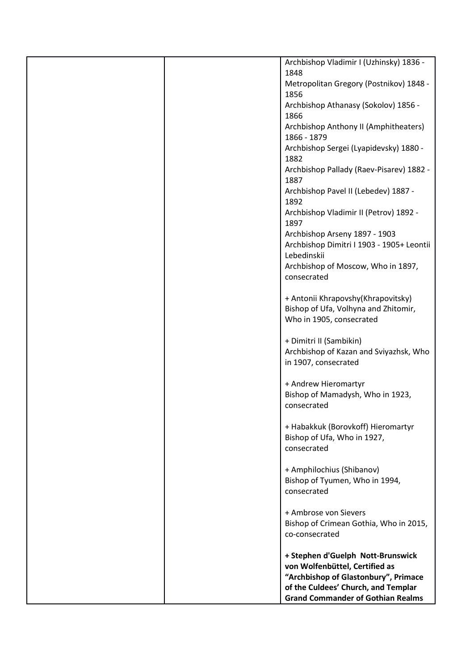|  | Archbishop Vladimir I (Uzhinsky) 1836 -                                    |
|--|----------------------------------------------------------------------------|
|  | 1848<br>Metropolitan Gregory (Postnikov) 1848 -                            |
|  | 1856                                                                       |
|  | Archbishop Athanasy (Sokolov) 1856 -                                       |
|  | 1866<br>Archbishop Anthony II (Amphitheaters)                              |
|  | 1866 - 1879                                                                |
|  | Archbishop Sergei (Lyapidevsky) 1880 -<br>1882                             |
|  | Archbishop Pallady (Raev-Pisarev) 1882 -                                   |
|  | 1887                                                                       |
|  | Archbishop Pavel II (Lebedev) 1887 -<br>1892                               |
|  | Archbishop Vladimir II (Petrov) 1892 -                                     |
|  | 1897                                                                       |
|  | Archbishop Arseny 1897 - 1903<br>Archbishop Dimitri I 1903 - 1905+ Leontii |
|  | Lebedinskii                                                                |
|  | Archbishop of Moscow, Who in 1897,                                         |
|  | consecrated                                                                |
|  | + Antonii Khrapovshy(Khrapovitsky)                                         |
|  | Bishop of Ufa, Volhyna and Zhitomir,                                       |
|  | Who in 1905, consecrated                                                   |
|  | + Dimitri II (Sambikin)                                                    |
|  | Archbishop of Kazan and Sviyazhsk, Who                                     |
|  | in 1907, consecrated                                                       |
|  | + Andrew Hieromartyr                                                       |
|  | Bishop of Mamadysh, Who in 1923,<br>consecrated                            |
|  |                                                                            |
|  | + Habakkuk (Borovkoff) Hieromartyr                                         |
|  | Bishop of Ufa, Who in 1927,<br>consecrated                                 |
|  |                                                                            |
|  | + Amphilochius (Shibanov)<br>Bishop of Tyumen, Who in 1994,                |
|  | consecrated                                                                |
|  |                                                                            |
|  | + Ambrose von Sievers<br>Bishop of Crimean Gothia, Who in 2015,            |
|  | co-consecrated                                                             |
|  |                                                                            |
|  | + Stephen d'Guelph Nott-Brunswick<br>von Wolfenbüttel, Certified as        |
|  | "Archbishop of Glastonbury", Primace                                       |
|  | of the Culdees' Church, and Templar                                        |
|  | <b>Grand Commander of Gothian Realms</b>                                   |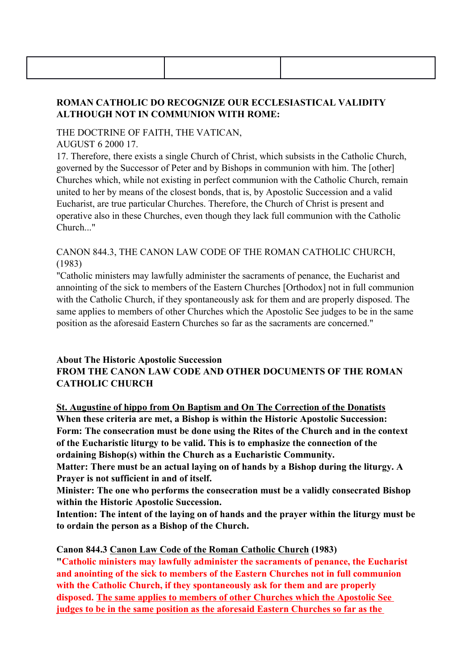# ROMAN CATHOLIC DO RECOGNIZE OUR ECCLESIASTICAL VALIDITY ALTHOUGH NOT IN COMMUNION WITH ROME:

THE DOCTRINE OF FAITH, THE VATICAN,

AUGUST 6 2000 17.

17. Therefore, there exists a single Church of Christ, which subsists in the Catholic Church, governed by the Successor of Peter and by Bishops in communion with him. The [other] Churches which, while not existing in perfect communion with the Catholic Church, remain united to her by means of the closest bonds, that is, by Apostolic Succession and a valid Eucharist, are true particular Churches. Therefore, the Church of Christ is present and operative also in these Churches, even though they lack full communion with the Catholic Church..."

#### CANON 844.3, THE CANON LAW CODE OF THE ROMAN CATHOLIC CHURCH, (1983)

"Catholic ministers may lawfully administer the sacraments of penance, the Eucharist and annointing of the sick to members of the Eastern Churches [Orthodox] not in full communion with the Catholic Church, if they spontaneously ask for them and are properly disposed. The same applies to members of other Churches which the Apostolic See judges to be in the same position as the aforesaid Eastern Churches so far as the sacraments are concerned."

## About The Historic Apostolic Succession FROM THE CANON LAW CODE AND OTHER DOCUMENTS OF THE ROMAN CATHOLIC CHURCH

St. Augustine of hippo from On Baptism and On The Correction of the Donatists When these criteria are met, a Bishop is within the Historic Apostolic Succession: Form: The consecration must be done using the Rites of the Church and in the context of the Eucharistic liturgy to be valid. This is to emphasize the connection of the ordaining Bishop(s) within the Church as a Eucharistic Community.

Matter: There must be an actual laying on of hands by a Bishop during the liturgy. A Prayer is not sufficient in and of itself.

Minister: The one who performs the consecration must be a validly consecrated Bishop within the Historic Apostolic Succession.

Intention: The intent of the laying on of hands and the prayer within the liturgy must be to ordain the person as a Bishop of the Church.

## Canon 844.3 Canon Law Code of the Roman Catholic Church (1983)

"Catholic ministers may lawfully administer the sacraments of penance, the Eucharist and anointing of the sick to members of the Eastern Churches not in full communion with the Catholic Church, if they spontaneously ask for them and are properly disposed. The same applies to members of other Churches which the Apostolic See judges to be in the same position as the aforesaid Eastern Churches so far as the